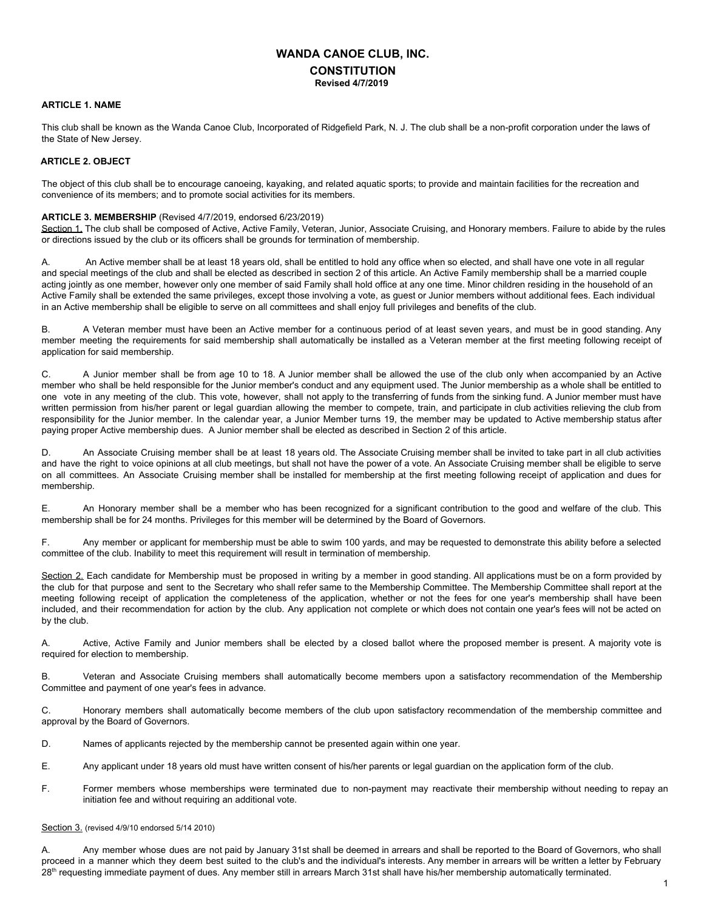# **WANDA CANOE CLUB, INC. CONSTITUTION Revised 4/7/2019**

## **ARTICLE 1. NAME**

This club shall be known as the Wanda Canoe Club, Incorporated of Ridgefield Park, N. J. The club shall be a non-profit corporation under the laws of the State of New Jersey.

## **ARTICLE 2. OBJECT**

The object of this club shall be to encourage canoeing, kayaking, and related aquatic sports; to provide and maintain facilities for the recreation and convenience of its members; and to promote social activities for its members.

#### **ARTICLE 3. MEMBERSHIP** (Revised 4/7/2019, endorsed 6/23/2019)

Section 1. The club shall be composed of Active, Active Family, Veteran, Junior, Associate Cruising, and Honorary members. Failure to abide by the rules or directions issued by the club or its officers shall be grounds for termination of membership.

A. An Active member shall be at least 18 years old, shall be entitled to hold any office when so elected, and shall have one vote in all regular and special meetings of the club and shall be elected as described in section 2 of this article. An Active Family membership shall be a married couple acting jointly as one member, however only one member of said Family shall hold office at any one time. Minor children residing in the household of an Active Family shall be extended the same privileges, except those involving a vote, as guest or Junior members without additional fees. Each individual in an Active membership shall be eligible to serve on all committees and shall enjoy full privileges and benefits of the club.

B. A Veteran member must have been an Active member for a continuous period of at least seven years, and must be in good standing. Any member meeting the requirements for said membership shall automatically be installed as a Veteran member at the first meeting following receipt of application for said membership.

C. A Junior member shall be from age 10 to 18. A Junior member shall be allowed the use of the club only when accompanied by an Active member who shall be held responsible for the Junior member's conduct and any equipment used. The Junior membership as a whole shall be entitled to one vote in any meeting of the club. This vote, however, shall not apply to the transferring of funds from the sinking fund. A Junior member must have written permission from his/her parent or legal guardian allowing the member to compete, train, and participate in club activities relieving the club from responsibility for the Junior member. In the calendar year, a Junior Member turns 19, the member may be updated to Active membership status after paying proper Active membership dues. A Junior member shall be elected as described in Section 2 of this article.

An Associate Cruising member shall be at least 18 years old. The Associate Cruising member shall be invited to take part in all club activities and have the right to voice opinions at all club meetings, but shall not have the power of a vote. An Associate Cruising member shall be eligible to serve on all committees. An Associate Cruising member shall be installed for membership at the first meeting following receipt of application and dues for membership.

E. An Honorary member shall be a member who has been recognized for a significant contribution to the good and welfare of the club. This membership shall be for 24 months. Privileges for this member will be determined by the Board of Governors.

F. Any member or applicant for membership must be able to swim 100 yards, and may be requested to demonstrate this ability before a selected committee of the club. Inability to meet this requirement will result in termination of membership.

Section 2. Each candidate for Membership must be proposed in writing by a member in good standing. All applications must be on a form provided by the club for that purpose and sent to the Secretary who shall refer same to the Membership Committee. The Membership Committee shall report at the meeting following receipt of application the completeness of the application, whether or not the fees for one year's membership shall have been included, and their recommendation for action by the club. Any application not complete or which does not contain one year's fees will not be acted on by the club.

A. Active, Active Family and Junior members shall be elected by a closed ballot where the proposed member is present. A majority vote is required for election to membership.

B. Veteran and Associate Cruising members shall automatically become members upon a satisfactory recommendation of the Membership Committee and payment of one year's fees in advance.

C. Honorary members shall automatically become members of the club upon satisfactory recommendation of the membership committee and approval by the Board of Governors.

D. Names of applicants rejected by the membership cannot be presented again within one year.

- E. Any applicant under 18 years old must have written consent of his/her parents or legal guardian on the application form of the club.
- F. Former members whose memberships were terminated due to non-payment may reactivate their membership without needing to repay an initiation fee and without requiring an additional vote.

#### Section 3. (revised 4/9/10 endorsed 5/14 2010)

A. Any member whose dues are not paid by January 31st shall be deemed in arrears and shall be reported to the Board of Governors, who shall proceed in a manner which they deem best suited to the club's and the individual's interests. Any member in arrears will be written a letter by February 28<sup>th</sup> requesting immediate payment of dues. Any member still in arrears March 31st shall have his/her membership automatically terminated.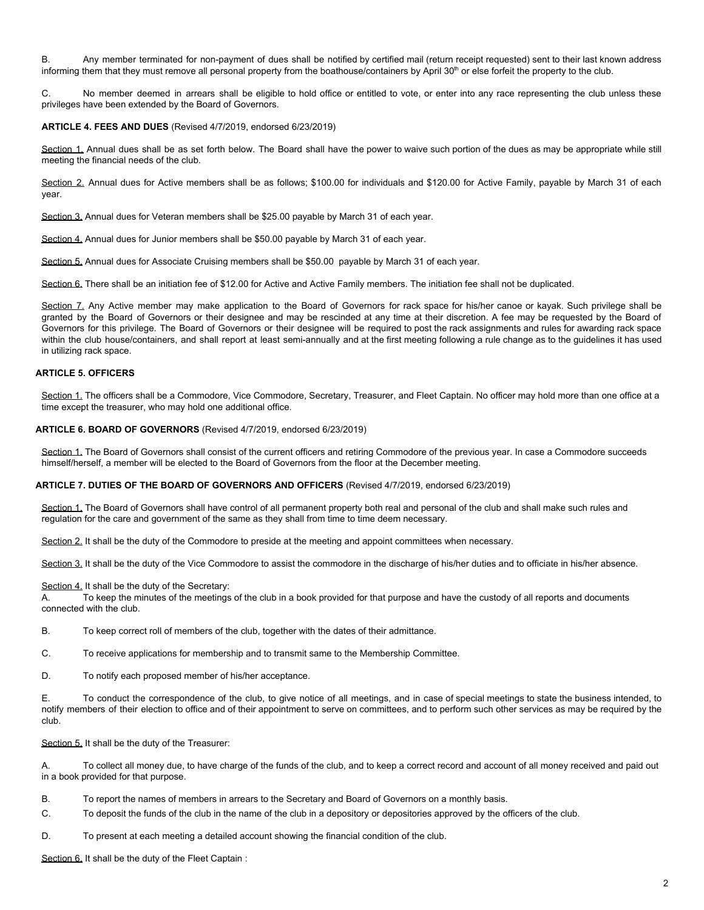B. Any member terminated for non-payment of dues shall be notified by certified mail (return receipt requested) sent to their last known address informing them that they must remove all personal property from the boathouse/containers by April 30<sup>th</sup> or else forfeit the property to the club.

C. No member deemed in arrears shall be eligible to hold office or entitled to vote, or enter into any race representing the club unless these privileges have been extended by the Board of Governors.

## **ARTICLE 4. FEES AND DUES** (Revised 4/7/2019, endorsed 6/23/2019)

Section 1. Annual dues shall be as set forth below. The Board shall have the power to waive such portion of the dues as may be appropriate while still meeting the financial needs of the club.

Section 2. Annual dues for Active members shall be as follows; \$100.00 for individuals and \$120.00 for Active Family, payable by March 31 of each year.

Section 3. Annual dues for Veteran members shall be \$25.00 payable by March 31 of each year.

Section 4. Annual dues for Junior members shall be \$50.00 payable by March 31 of each year.

Section 5. Annual dues for Associate Cruising members shall be \$50.00 payable by March 31 of each year.

Section 6. There shall be an initiation fee of \$12.00 for Active and Active Family members. The initiation fee shall not be duplicated.

Section 7. Any Active member may make application to the Board of Governors for rack space for his/her canoe or kayak. Such privilege shall be granted by the Board of Governors or their designee and may be rescinded at any time at their discretion. A fee may be requested by the Board of Governors for this privilege. The Board of Governors or their designee will be required to post the rack assignments and rules for awarding rack space within the club house/containers, and shall report at least semi-annually and at the first meeting following a rule change as to the guidelines it has used in utilizing rack space.

## **ARTICLE 5. OFFICERS**

Section 1. The officers shall be a Commodore, Vice Commodore, Secretary, Treasurer, and Fleet Captain. No officer may hold more than one office at a time except the treasurer, who may hold one additional office.

# **ARTICLE 6. BOARD OF GOVERNORS** (Revised 4/7/2019, endorsed 6/23/2019)

Section 1. The Board of Governors shall consist of the current officers and retiring Commodore of the previous year. In case a Commodore succeeds himself/herself, a member will be elected to the Board of Governors from the floor at the December meeting.

#### **ARTICLE 7. DUTIES OF THE BOARD OF GOVERNORS AND OFFICERS** (Revised 4/7/2019, endorsed 6/23/2019)

Section 1. The Board of Governors shall have control of all permanent property both real and personal of the club and shall make such rules and regulation for the care and government of the same as they shall from time to time deem necessary.

Section 2. It shall be the duty of the Commodore to preside at the meeting and appoint committees when necessary.

Section 3. It shall be the duty of the Vice Commodore to assist the commodore in the discharge of his/her duties and to officiate in his/her absence.

Section 4. It shall be the duty of the Secretary:

A. To keep the minutes of the meetings of the club in a book provided for that purpose and have the custody of all reports and documents connected with the club.

B. To keep correct roll of members of the club, together with the dates of their admittance.

C. To receive applications for membership and to transmit same to the Membership Committee.

D. To notify each proposed member of his/her acceptance.

E. To conduct the correspondence of the club, to give notice of all meetings, and in case of special meetings to state the business intended, to notify members of their election to office and of their appointment to serve on committees, and to perform such other services as may be required by the club.

Section 5. It shall be the duty of the Treasurer:

A. To collect all money due, to have charge of the funds of the club, and to keep a correct record and account of all money received and paid out in a book provided for that purpose.

- B. To report the names of members in arrears to the Secretary and Board of Governors on a monthly basis.
- C. To deposit the funds of the club in the name of the club in a depository or depositories approved by the officers of the club.
- D. To present at each meeting a detailed account showing the financial condition of the club.

Section 6. It shall be the duty of the Fleet Captain :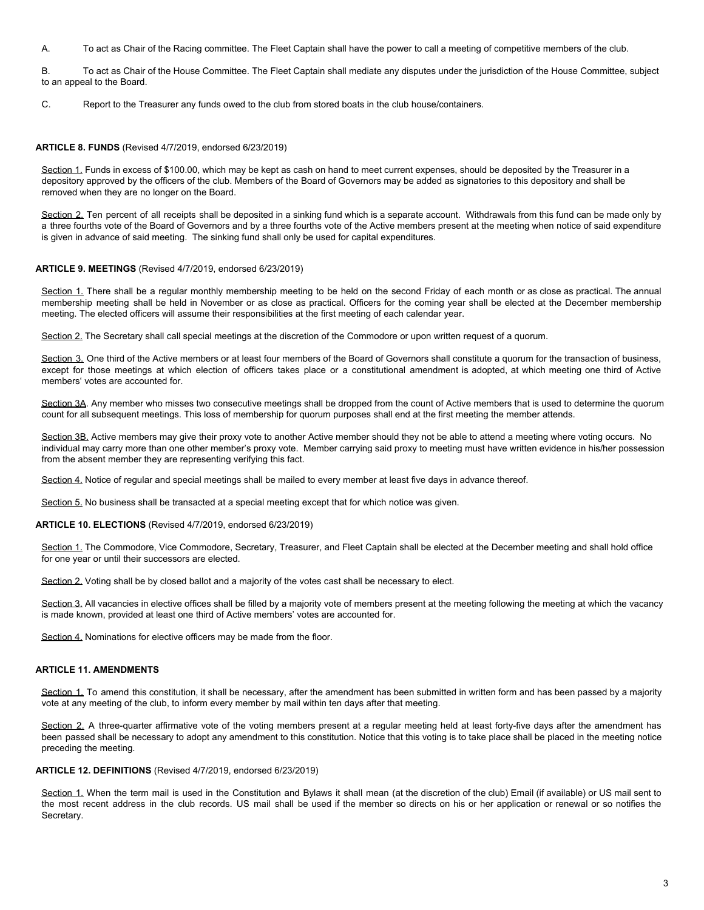A. To act as Chair of the Racing committee. The Fleet Captain shall have the power to call a meeting of competitive members of the club.

B. To act as Chair of the House Committee. The Fleet Captain shall mediate any disputes under the jurisdiction of the House Committee, subject to an appeal to the Board.

C. Report to the Treasurer any funds owed to the club from stored boats in the club house/containers.

#### **ARTICLE 8. FUNDS** (Revised 4/7/2019, endorsed 6/23/2019)

Section 1. Funds in excess of \$100.00, which may be kept as cash on hand to meet current expenses, should be deposited by the Treasurer in a depository approved by the officers of the club. Members of the Board of Governors may be added as signatories to this depository and shall be removed when they are no longer on the Board.

Section 2. Ten percent of all receipts shall be deposited in a sinking fund which is a separate account. Withdrawals from this fund can be made only by a three fourths vote of the Board of Governors and by a three fourths vote of the Active members present at the meeting when notice of said expenditure is given in advance of said meeting. The sinking fund shall only be used for capital expenditures.

#### **ARTICLE 9. MEETINGS** (Revised 4/7/2019, endorsed 6/23/2019)

Section 1. There shall be a regular monthly membership meeting to be held on the second Friday of each month or as close as practical. The annual membership meeting shall be held in November or as close as practical. Officers for the coming year shall be elected at the December membership meeting. The elected officers will assume their responsibilities at the first meeting of each calendar year.

Section 2. The Secretary shall call special meetings at the discretion of the Commodore or upon written request of a quorum.

Section 3. One third of the Active members or at least four members of the Board of Governors shall constitute a quorum for the transaction of business, except for those meetings at which election of officers takes place or a constitutional amendment is adopted, at which meeting one third of Active members' votes are accounted for.

Section 3A. Any member who misses two consecutive meetings shall be dropped from the count of Active members that is used to determine the quorum count for all subsequent meetings. This loss of membership for quorum purposes shall end at the first meeting the member attends.

Section 3B. Active members may give their proxy vote to another Active member should they not be able to attend a meeting where voting occurs. No individual may carry more than one other member's proxy vote. Member carrying said proxy to meeting must have written evidence in his/her possession from the absent member they are representing verifying this fact.

Section 4. Notice of regular and special meetings shall be mailed to every member at least five days in advance thereof.

Section 5. No business shall be transacted at a special meeting except that for which notice was given.

#### **ARTICLE 10. ELECTIONS** (Revised 4/7/2019, endorsed 6/23/2019)

Section 1. The Commodore, Vice Commodore, Secretary, Treasurer, and Fleet Captain shall be elected at the December meeting and shall hold office for one year or until their successors are elected.

Section 2. Voting shall be by closed ballot and a majority of the votes cast shall be necessary to elect.

Section 3. All vacancies in elective offices shall be filled by a majority vote of members present at the meeting following the meeting at which the vacancy is made known, provided at least one third of Active members' votes are accounted for.

Section 4. Nominations for elective officers may be made from the floor.

## **ARTICLE 11. AMENDMENTS**

Section 1. To amend this constitution, it shall be necessary, after the amendment has been submitted in written form and has been passed by a majority vote at any meeting of the club, to inform every member by mail within ten days after that meeting.

Section 2. A three-quarter affirmative vote of the voting members present at a regular meeting held at least forty-five days after the amendment has been passed shall be necessary to adopt any amendment to this constitution. Notice that this voting is to take place shall be placed in the meeting notice preceding the meeting.

## **ARTICLE 12. DEFINITIONS** (Revised 4/7/2019, endorsed 6/23/2019)

Section 1. When the term mail is used in the Constitution and Bylaws it shall mean (at the discretion of the club) Email (if available) or US mail sent to the most recent address in the club records. US mail shall be used if the member so directs on his or her application or renewal or so notifies the Secretary.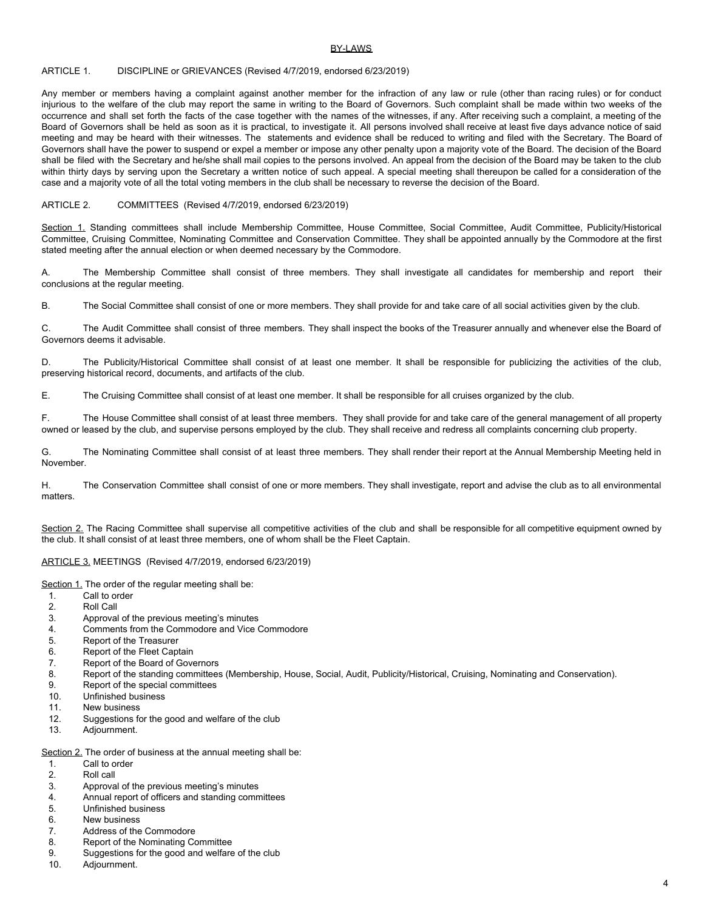## **BY-LAWS**

## ARTICLE 1. DISCIPLINE or GRIEVANCES (Revised 4/7/2019, endorsed 6/23/2019)

Any member or members having a complaint against another member for the infraction of any law or rule (other than racing rules) or for conduct injurious to the welfare of the club may report the same in writing to the Board of Governors. Such complaint shall be made within two weeks of the occurrence and shall set forth the facts of the case together with the names of the witnesses, if any. After receiving such a complaint, a meeting of the Board of Governors shall be held as soon as it is practical, to investigate it. All persons involved shall receive at least five days advance notice of said meeting and may be heard with their witnesses. The statements and evidence shall be reduced to writing and filed with the Secretary. The Board of Governors shall have the power to suspend or expel a member or impose any other penalty upon a majority vote of the Board. The decision of the Board shall be filed with the Secretary and he/she shall mail copies to the persons involved. An appeal from the decision of the Board may be taken to the club within thirty days by serving upon the Secretary a written notice of such appeal. A special meeting shall thereupon be called for a consideration of the case and a majority vote of all the total voting members in the club shall be necessary to reverse the decision of the Board.

## ARTICLE 2. COMMITTEES (Revised 4/7/2019, endorsed 6/23/2019)

Section 1. Standing committees shall include Membership Committee, House Committee, Social Committee, Audit Committee, Publicity/Historical Committee, Cruising Committee, Nominating Committee and Conservation Committee. They shall be appointed annually by the Commodore at the first stated meeting after the annual election or when deemed necessary by the Commodore.

A. The Membership Committee shall consist of three members. They shall investigate all candidates for membership and report their conclusions at the regular meeting.

B. The Social Committee shall consist of one or more members. They shall provide for and take care of all social activities given by the club.

C. The Audit Committee shall consist of three members. They shall inspect the books of the Treasurer annually and whenever else the Board of Governors deems it advisable.

D. The Publicity/Historical Committee shall consist of at least one member. It shall be responsible for publicizing the activities of the club, preserving historical record, documents, and artifacts of the club.

E. The Cruising Committee shall consist of at least one member. It shall be responsible for all cruises organized by the club.

F. The House Committee shall consist of at least three members. They shall provide for and take care of the general management of all property owned or leased by the club, and supervise persons employed by the club. They shall receive and redress all complaints concerning club property.

G. The Nominating Committee shall consist of at least three members. They shall render their report at the Annual Membership Meeting held in November.

H. The Conservation Committee shall consist of one or more members. They shall investigate, report and advise the club as to all environmental matters.

Section 2. The Racing Committee shall supervise all competitive activities of the club and shall be responsible for all competitive equipment owned by the club. It shall consist of at least three members, one of whom shall be the Fleet Captain.

## ARTICLE 3. MEETINGS (Revised 4/7/2019, endorsed 6/23/2019)

Section 1. The order of the regular meeting shall be:

- 1. Call to order
- 2. Roll Call
- 3. Approval of the previous meeting's minutes
- 4. Comments from the Commodore and Vice Commodore
- 5. Report of the Treasurer
- 6. Report of the Fleet Captain
- 7. Report of the Board of Governors
- 8. Report of the standing committees (Membership, House, Social, Audit, Publicity/Historical, Cruising, Nominating and Conservation).
- 9. Report of the special committees
- 10. Unfinished business
- 11. New business
- 12. Suggestions for the good and welfare of the club
- 13. Adjournment.

Section 2. The order of business at the annual meeting shall be:

- 1. Call to order
- 2. Roll call
- 3. Approval of the previous meeting's minutes
- 4. Annual report of officers and standing committees
- 5. Unfinished business
- 6. New business
- 7. Address of the Commodore
- 8. Report of the Nominating Committee
- 9. Suggestions for the good and welfare of the club
- 10. Adjournment.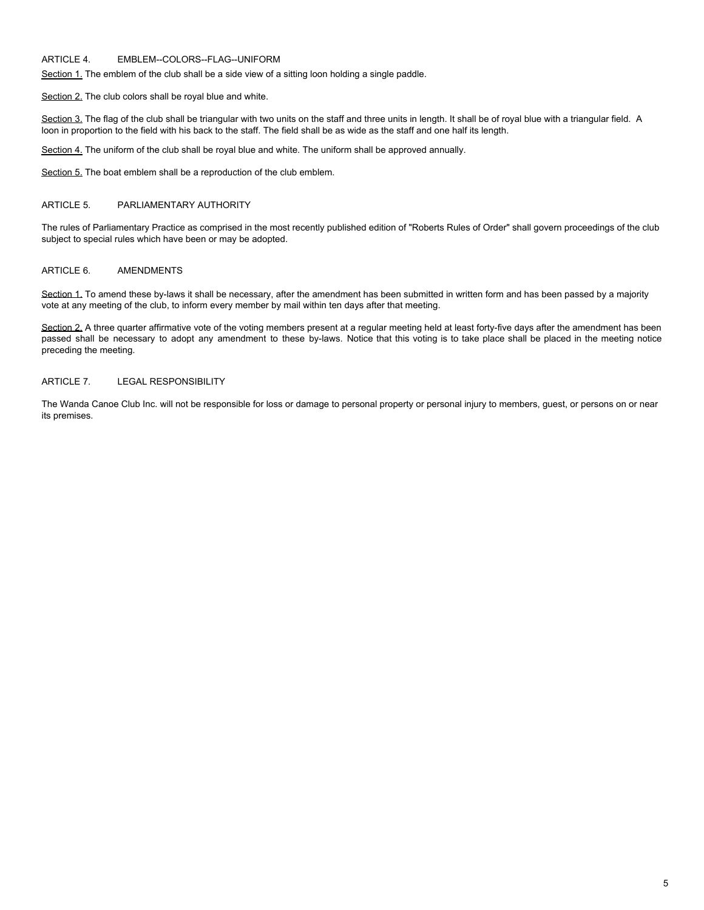# ARTICLE 4. EMBLEM--COLORS--FLAG--UNIFORM

Section 1. The emblem of the club shall be a side view of a sitting loon holding a single paddle.

Section 2. The club colors shall be royal blue and white.

Section 3. The flag of the club shall be triangular with two units on the staff and three units in length. It shall be of royal blue with a triangular field. A loon in proportion to the field with his back to the staff. The field shall be as wide as the staff and one half its length.

Section 4. The uniform of the club shall be royal blue and white. The uniform shall be approved annually.

Section 5. The boat emblem shall be a reproduction of the club emblem.

#### ARTICLE 5. PARLIAMENTARY AUTHORITY

The rules of Parliamentary Practice as comprised in the most recently published edition of "Roberts Rules of Order" shall govern proceedings of the club subject to special rules which have been or may be adopted.

# ARTICLE 6. AMENDMENTS

Section 1. To amend these by-laws it shall be necessary, after the amendment has been submitted in written form and has been passed by a majority vote at any meeting of the club, to inform every member by mail within ten days after that meeting.

Section 2. A three quarter affirmative vote of the voting members present at a regular meeting held at least forty-five days after the amendment has been passed shall be necessary to adopt any amendment to these by-laws. Notice that this voting is to take place shall be placed in the meeting notice preceding the meeting.

## ARTICLE 7. LEGAL RESPONSIBILITY

The Wanda Canoe Club Inc. will not be responsible for loss or damage to personal property or personal injury to members, guest, or persons on or near its premises.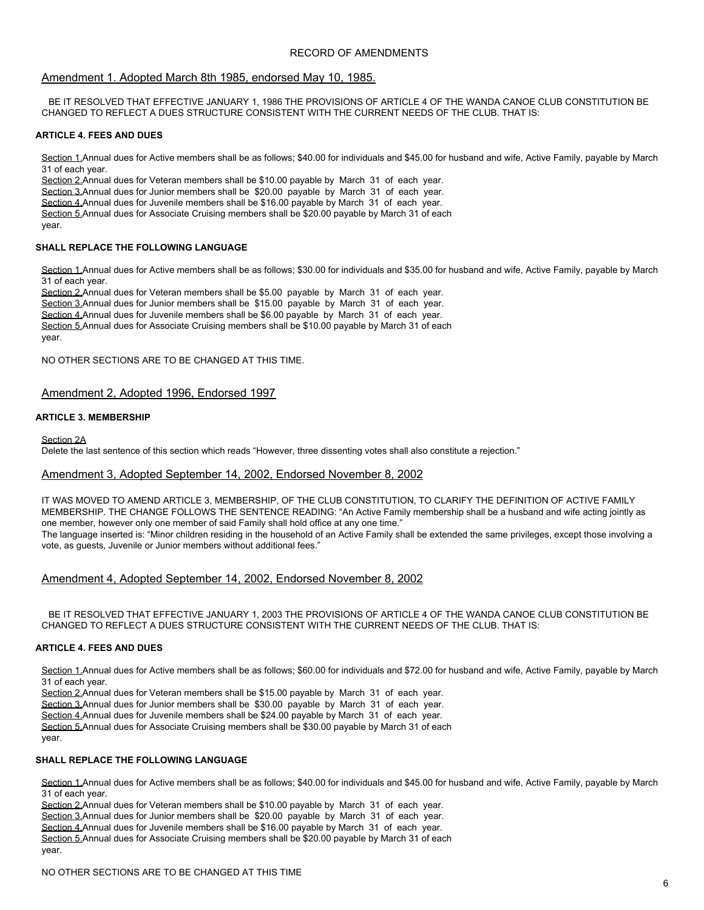# RECORD OF AMENDMENTS

## Amendment 1. Adopted March 8th 1985, endorsed May 10, 1985.

BE IT RESOLVED THAT EFFECTIVE JANUARY 1, 1986 THE PROVISIONS OF ARTICLE 4 OF THE WANDA CANOE CLUB CONSTITUTION BE CHANGED TO REFLECT A DUES STRUCTURE CONSISTENT WITH THE CURRENT NEEDS OF THE CLUB. THAT IS:

## **ARTICLE 4. FEES AND DUES**

Section 1.Annual dues for Active members shall be as follows; \$40.00 for individuals and \$45.00 for husband and wife, Active Family, payable by March 31 of each year.

Section 2.Annual dues for Veteran members shall be \$10.00 payable by March 31 of each year.

Section 3.Annual dues for Junior members shall be \$20.00 payable by March 31 of each year.

Section 4.Annual dues for Juvenile members shall be \$16.00 payable by March 31 of each year.

Section 5.Annual dues for Associate Cruising members shall be \$20.00 payable by March 31 of each

year.

## **SHALL REPLACE THE FOLLOWING LANGUAGE**

Section 1.Annual dues for Active members shall be as follows; \$30.00 for individuals and \$35.00 for husband and wife, Active Family, payable by March 31 of each year.

Section 2.Annual dues for Veteran members shall be \$5.00 payable by March 31 of each year.

Section 3.Annual dues for Junior members shall be \$15.00 payable by March 31 of each year.

Section 4.Annual dues for Juvenile members shall be \$6.00 payable by March 31 of each year.

Section 5.Annual dues for Associate Cruising members shall be \$10.00 payable by March 31 of each year.

NO OTHER SECTIONS ARE TO BE CHANGED AT THIS TIME.

# Amendment 2, Adopted 1996, Endorsed 1997

#### **ARTICLE 3. MEMBERSHIP**

Section 2A

Delete the last sentence of this section which reads "However, three dissenting votes shall also constitute a rejection."

# Amendment 3, Adopted September 14, 2002, Endorsed November 8, 2002

IT WAS MOVED TO AMEND ARTICLE 3, MEMBERSHIP, OF THE CLUB CONSTITUTION, TO CLARIFY THE DEFINITION OF ACTIVE FAMILY MEMBERSHIP. THE CHANGE FOLLOWS THE SENTENCE READING: "An Active Family membership shall be a husband and wife acting jointly as one member, however only one member of said Family shall hold office at any one time." The language inserted is: "Minor children residing in the household of an Active Family shall be extended the same privileges, except those involving a vote, as guests, Juvenile or Junior members without additional fees."

# Amendment 4, Adopted September 14, 2002, Endorsed November 8, 2002

BE IT RESOLVED THAT EFFECTIVE JANUARY 1, 2003 THE PROVISIONS OF ARTICLE 4 OF THE WANDA CANOE CLUB CONSTITUTION BE CHANGED TO REFLECT A DUES STRUCTURE CONSISTENT WITH THE CURRENT NEEDS OF THE CLUB. THAT IS:

## **ARTICLE 4. FEES AND DUES**

Section 1.Annual dues for Active members shall be as follows; \$60.00 for individuals and \$72.00 for husband and wife, Active Family, payable by March 31 of each year.

Section 2.Annual dues for Veteran members shall be \$15.00 payable by March 31 of each year.

Section 3.Annual dues for Junior members shall be \$30.00 payable by March 31 of each year.

Section 4.Annual dues for Juvenile members shall be \$24.00 payable by March 31 of each year.

Section 5.Annual dues for Associate Cruising members shall be \$30.00 payable by March 31 of each

year.

# **SHALL REPLACE THE FOLLOWING LANGUAGE**

Section 1.Annual dues for Active members shall be as follows; \$40.00 for individuals and \$45.00 for husband and wife, Active Family, payable by March 31 of each year.

Section 2.Annual dues for Veteran members shall be \$10.00 payable by March 31 of each year.

Section 3.Annual dues for Junior members shall be \$20.00 payable by March 31 of each year.

Section 4.Annual dues for Juvenile members shall be \$16.00 payable by March 31 of each year.

Section 5.Annual dues for Associate Cruising members shall be \$20.00 payable by March 31 of each year.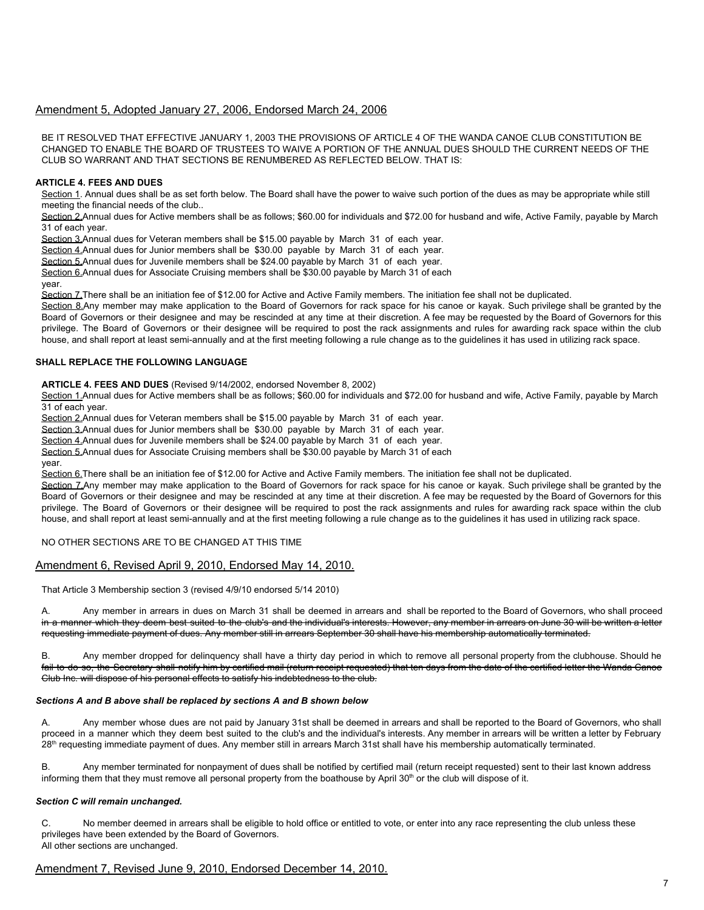# Amendment 5, Adopted January 27, 2006, Endorsed March 24, 2006

BE IT RESOLVED THAT EFFECTIVE JANUARY 1, 2003 THE PROVISIONS OF ARTICLE 4 OF THE WANDA CANOE CLUB CONSTITUTION BE CHANGED TO ENABLE THE BOARD OF TRUSTEES TO WAIVE A PORTION OF THE ANNUAL DUES SHOULD THE CURRENT NEEDS OF THE CLUB SO WARRANT AND THAT SECTIONS BE RENUMBERED AS REFLECTED BELOW. THAT IS:

## **ARTICLE 4. FEES AND DUES**

Section 1. Annual dues shall be as set forth below. The Board shall have the power to waive such portion of the dues as may be appropriate while still meeting the financial needs of the club..

Section 2.Annual dues for Active members shall be as follows; \$60.00 for individuals and \$72.00 for husband and wife, Active Family, payable by March 31 of each year.

Section 3.Annual dues for Veteran members shall be \$15.00 payable by March 31 of each year.

Section 4.Annual dues for Junior members shall be \$30.00 payable by March 31 of each year.

Section 5.Annual dues for Juvenile members shall be \$24.00 payable by March 31 of each year.

Section 6.Annual dues for Associate Cruising members shall be \$30.00 payable by March 31 of each

year.

Section 7. There shall be an initiation fee of \$12.00 for Active and Active Family members. The initiation fee shall not be duplicated.

Section 8.Any member may make application to the Board of Governors for rack space for his canoe or kayak. Such privilege shall be granted by the Board of Governors or their designee and may be rescinded at any time at their discretion. A fee may be requested by the Board of Governors for this privilege. The Board of Governors or their designee will be required to post the rack assignments and rules for awarding rack space within the club house, and shall report at least semi-annually and at the first meeting following a rule change as to the guidelines it has used in utilizing rack space.

## **SHALL REPLACE THE FOLLOWING LANGUAGE**

**ARTICLE 4. FEES AND DUES** (Revised 9/14/2002, endorsed November 8, 2002)

Section 1.Annual dues for Active members shall be as follows; \$60.00 for individuals and \$72.00 for husband and wife, Active Family, payable by March 31 of each year.

Section 2.Annual dues for Veteran members shall be \$15.00 payable by March 31 of each year.

Section 3.Annual dues for Junior members shall be \$30.00 payable by March 31 of each year.

Section 4.Annual dues for Juvenile members shall be \$24.00 payable by March 31 of each year.

Section 5.Annual dues for Associate Cruising members shall be \$30.00 payable by March 31 of each

year.

Section 6. There shall be an initiation fee of \$12.00 for Active and Active Family members. The initiation fee shall not be duplicated.

Section 7.Any member may make application to the Board of Governors for rack space for his canoe or kayak. Such privilege shall be granted by the Board of Governors or their designee and may be rescinded at any time at their discretion. A fee may be requested by the Board of Governors for this privilege. The Board of Governors or their designee will be required to post the rack assignments and rules for awarding rack space within the club house, and shall report at least semi-annually and at the first meeting following a rule change as to the guidelines it has used in utilizing rack space.

NO OTHER SECTIONS ARE TO BE CHANGED AT THIS TIME

# Amendment 6, Revised April 9, 2010, Endorsed May 14, 2010.

That Article 3 Membership section 3 (revised 4/9/10 endorsed 5/14 2010)

A. Any member in arrears in dues on March 31 shall be deemed in arrears and shall be reported to the Board of Governors, who shall proceed in a manner which they deem best suited to the club's and the individual's interests. However, any member in arrears on June 30 will be written a letter requesting immediate payment of dues. Any member still in arrears September 30 shall have his membership automatically terminated.

B. Any member dropped for delinquency shall have a thirty day period in which to remove all personal property from the clubhouse. Should he fail to do so, the Secretary shall notify him by certified mail (return receipt requested) that ten days from the date of the certified letter the Wanda Canoe Club Inc. will dispose of his personal effects to satisfy his indebtedness to the club.

# *Sections A and B above shall be replaced by sections A and B shown below*

A. Any member whose dues are not paid by January 31st shall be deemed in arrears and shall be reported to the Board of Governors, who shall proceed in a manner which they deem best suited to the club's and the individual's interests. Any member in arrears will be written a letter by February 28<sup>th</sup> requesting immediate payment of dues. Any member still in arrears March 31st shall have his membership automatically terminated.

Any member terminated for nonpayment of dues shall be notified by certified mail (return receipt requested) sent to their last known address informing them that they must remove all personal property from the boathouse by April 30<sup>th</sup> or the club will dispose of it.

## *Section C will remain unchanged.*

C. No member deemed in arrears shall be eligible to hold office or entitled to vote, or enter into any race representing the club unless these privileges have been extended by the Board of Governors. All other sections are unchanged.

# Amendment 7, Revised June 9, 2010, Endorsed December 14, 2010.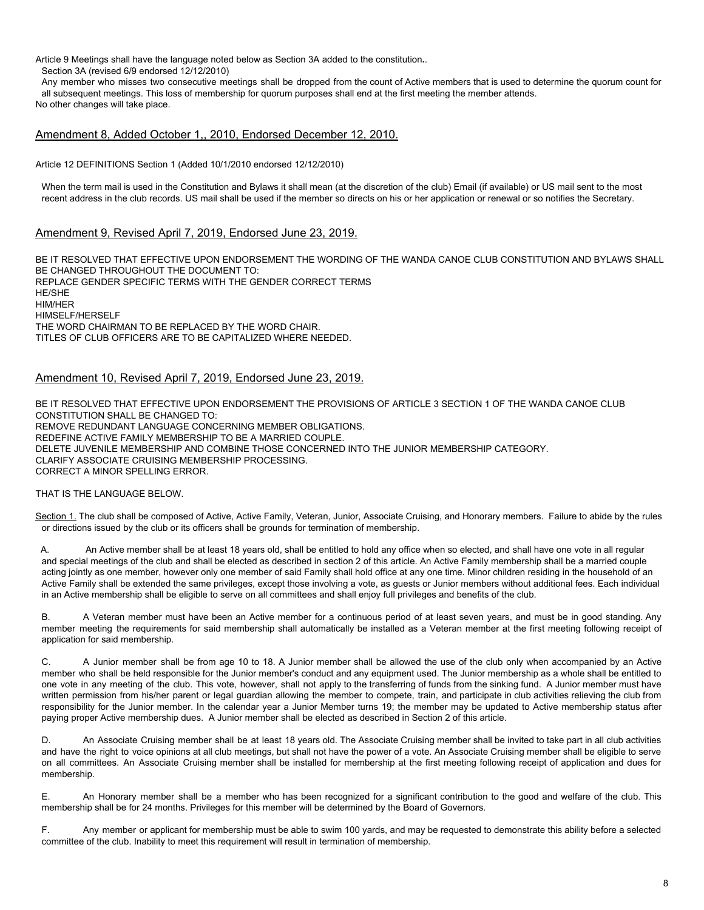Article 9 Meetings shall have the language noted below as Section 3A added to the constitution**.**.

Section 3A (revised 6/9 endorsed 12/12/2010)

Any member who misses two consecutive meetings shall be dropped from the count of Active members that is used to determine the quorum count for all subsequent meetings. This loss of membership for quorum purposes shall end at the first meeting the member attends. No other changes will take place.

# Amendment 8, Added October 1,, 2010, Endorsed December 12, 2010.

Article 12 DEFINITIONS Section 1 (Added 10/1/2010 endorsed 12/12/2010)

When the term mail is used in the Constitution and Bylaws it shall mean (at the discretion of the club) Email (if available) or US mail sent to the most recent address in the club records. US mail shall be used if the member so directs on his or her application or renewal or so notifies the Secretary.

# Amendment 9, Revised April 7, 2019, Endorsed June 23, 2019.

BE IT RESOLVED THAT EFFECTIVE UPON ENDORSEMENT THE WORDING OF THE WANDA CANOE CLUB CONSTITUTION AND BYLAWS SHALL BE CHANGED THROUGHOUT THE DOCUMENT TO: REPLACE GENDER SPECIFIC TERMS WITH THE GENDER CORRECT TERMS HE/SHE HIM/HER HIMSELF/HERSELF THE WORD CHAIRMAN TO BE REPLACED BY THE WORD CHAIR. TITLES OF CLUB OFFICERS ARE TO BE CAPITALIZED WHERE NEEDED.

# Amendment 10, Revised April 7, 2019, Endorsed June 23, 2019.

BE IT RESOLVED THAT EFFECTIVE UPON ENDORSEMENT THE PROVISIONS OF ARTICLE 3 SECTION 1 OF THE WANDA CANOE CLUB CONSTITUTION SHALL BE CHANGED TO: REMOVE REDUNDANT LANGUAGE CONCERNING MEMBER OBLIGATIONS. REDEFINE ACTIVE FAMILY MEMBERSHIP TO BE A MARRIED COUPLE. DELETE JUVENILE MEMBERSHIP AND COMBINE THOSE CONCERNED INTO THE JUNIOR MEMBERSHIP CATEGORY. CLARIFY ASSOCIATE CRUISING MEMBERSHIP PROCESSING. CORRECT A MINOR SPELLING ERROR.

# THAT IS THE LANGUAGE BELOW.

Section 1. The club shall be composed of Active, Active Family, Veteran, Junior, Associate Cruising, and Honorary members. Failure to abide by the rules or directions issued by the club or its officers shall be grounds for termination of membership.

A. An Active member shall be at least 18 years old, shall be entitled to hold any office when so elected, and shall have one vote in all regular and special meetings of the club and shall be elected as described in section 2 of this article. An Active Family membership shall be a married couple acting jointly as one member, however only one member of said Family shall hold office at any one time. Minor children residing in the household of an Active Family shall be extended the same privileges, except those involving a vote, as guests or Junior members without additional fees. Each individual in an Active membership shall be eligible to serve on all committees and shall enjoy full privileges and benefits of the club.

B. A Veteran member must have been an Active member for a continuous period of at least seven years, and must be in good standing. Any member meeting the requirements for said membership shall automatically be installed as a Veteran member at the first meeting following receipt of application for said membership.

C. A Junior member shall be from age 10 to 18. A Junior member shall be allowed the use of the club only when accompanied by an Active member who shall be held responsible for the Junior member's conduct and any equipment used. The Junior membership as a whole shall be entitled to one vote in any meeting of the club. This vote, however, shall not apply to the transferring of funds from the sinking fund. A Junior member must have written permission from his/her parent or legal guardian allowing the member to compete, train, and participate in club activities relieving the club from responsibility for the Junior member. In the calendar year a Junior Member turns 19; the member may be updated to Active membership status after paying proper Active membership dues. A Junior member shall be elected as described in Section 2 of this article.

D. An Associate Cruising member shall be at least 18 years old. The Associate Cruising member shall be invited to take part in all club activities and have the right to voice opinions at all club meetings, but shall not have the power of a vote. An Associate Cruising member shall be eligible to serve on all committees. An Associate Cruising member shall be installed for membership at the first meeting following receipt of application and dues for membership.

E. An Honorary member shall be a member who has been recognized for a significant contribution to the good and welfare of the club. This membership shall be for 24 months. Privileges for this member will be determined by the Board of Governors.

F. Any member or applicant for membership must be able to swim 100 yards, and may be requested to demonstrate this ability before a selected committee of the club. Inability to meet this requirement will result in termination of membership.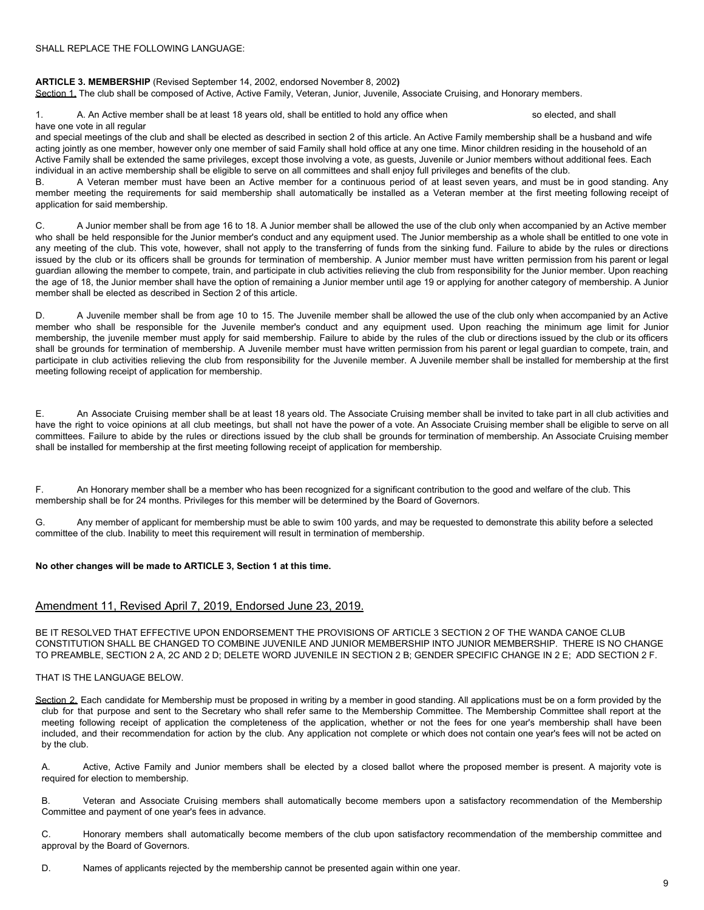# **ARTICLE 3. MEMBERSHIP** (Revised September 14, 2002, endorsed November 8, 2002**)**

Section 1. The club shall be composed of Active, Active Family, Veteran, Junior, Juvenile, Associate Cruising, and Honorary members.

1. A. An Active member shall be at least 18 years old, shall be entitled to hold any office when so elected, and shall have one vote in all regular

and special meetings of the club and shall be elected as described in section 2 of this article. An Active Family membership shall be a husband and wife acting jointly as one member, however only one member of said Family shall hold office at any one time. Minor children residing in the household of an Active Family shall be extended the same privileges, except those involving a vote, as guests, Juvenile or Junior members without additional fees. Each individual in an active membership shall be eligible to serve on all committees and shall enjoy full privileges and benefits of the club.

B. A Veteran member must have been an Active member for a continuous period of at least seven years, and must be in good standing. Any member meeting the requirements for said membership shall automatically be installed as a Veteran member at the first meeting following receipt of application for said membership.

C. A Junior member shall be from age 16 to 18. A Junior member shall be allowed the use of the club only when accompanied by an Active member who shall be held responsible for the Junior member's conduct and any equipment used. The Junior membership as a whole shall be entitled to one vote in any meeting of the club. This vote, however, shall not apply to the transferring of funds from the sinking fund. Failure to abide by the rules or directions issued by the club or its officers shall be grounds for termination of membership. A Junior member must have written permission from his parent or legal guardian allowing the member to compete, train, and participate in club activities relieving the club from responsibility for the Junior member. Upon reaching the age of 18, the Junior member shall have the option of remaining a Junior member until age 19 or applying for another category of membership. A Junior member shall be elected as described in Section 2 of this article.

D. A Juvenile member shall be from age 10 to 15. The Juvenile member shall be allowed the use of the club only when accompanied by an Active member who shall be responsible for the Juvenile member's conduct and any equipment used. Upon reaching the minimum age limit for Junior membership, the juvenile member must apply for said membership. Failure to abide by the rules of the club or directions issued by the club or its officers shall be grounds for termination of membership. A Juvenile member must have written permission from his parent or legal guardian to compete, train, and participate in club activities relieving the club from responsibility for the Juvenile member. A Juvenile member shall be installed for membership at the first meeting following receipt of application for membership.

E. An Associate Cruising member shall be at least 18 years old. The Associate Cruising member shall be invited to take part in all club activities and have the right to voice opinions at all club meetings, but shall not have the power of a vote. An Associate Cruising member shall be eligible to serve on all committees. Failure to abide by the rules or directions issued by the club shall be grounds for termination of membership. An Associate Cruising member shall be installed for membership at the first meeting following receipt of application for membership.

F. An Honorary member shall be a member who has been recognized for a significant contribution to the good and welfare of the club. This membership shall be for 24 months. Privileges for this member will be determined by the Board of Governors.

G. Any member of applicant for membership must be able to swim 100 yards, and may be requested to demonstrate this ability before a selected committee of the club. Inability to meet this requirement will result in termination of membership.

## **No other changes will be made to ARTICLE 3, Section 1 at this time.**

# Amendment 11, Revised April 7, 2019, Endorsed June 23, 2019.

BE IT RESOLVED THAT EFFECTIVE UPON ENDORSEMENT THE PROVISIONS OF ARTICLE 3 SECTION 2 OF THE WANDA CANOE CLUB CONSTITUTION SHALL BE CHANGED TO COMBINE JUVENILE AND JUNIOR MEMBERSHIP INTO JUNIOR MEMBERSHIP. THERE IS NO CHANGE TO PREAMBLE, SECTION 2 A, 2C AND 2 D; DELETE WORD JUVENILE IN SECTION 2 B; GENDER SPECIFIC CHANGE IN 2 E; ADD SECTION 2 F.

## THAT IS THE LANGUAGE BELOW.

Section 2. Each candidate for Membership must be proposed in writing by a member in good standing. All applications must be on a form provided by the club for that purpose and sent to the Secretary who shall refer same to the Membership Committee. The Membership Committee shall report at the meeting following receipt of application the completeness of the application, whether or not the fees for one year's membership shall have been included, and their recommendation for action by the club. Any application not complete or which does not contain one year's fees will not be acted on by the club.

A. Active, Active Family and Junior members shall be elected by a closed ballot where the proposed member is present. A majority vote is required for election to membership.

B. Veteran and Associate Cruising members shall automatically become members upon a satisfactory recommendation of the Membership Committee and payment of one year's fees in advance.

C. Honorary members shall automatically become members of the club upon satisfactory recommendation of the membership committee and approval by the Board of Governors.

D. Names of applicants rejected by the membership cannot be presented again within one year.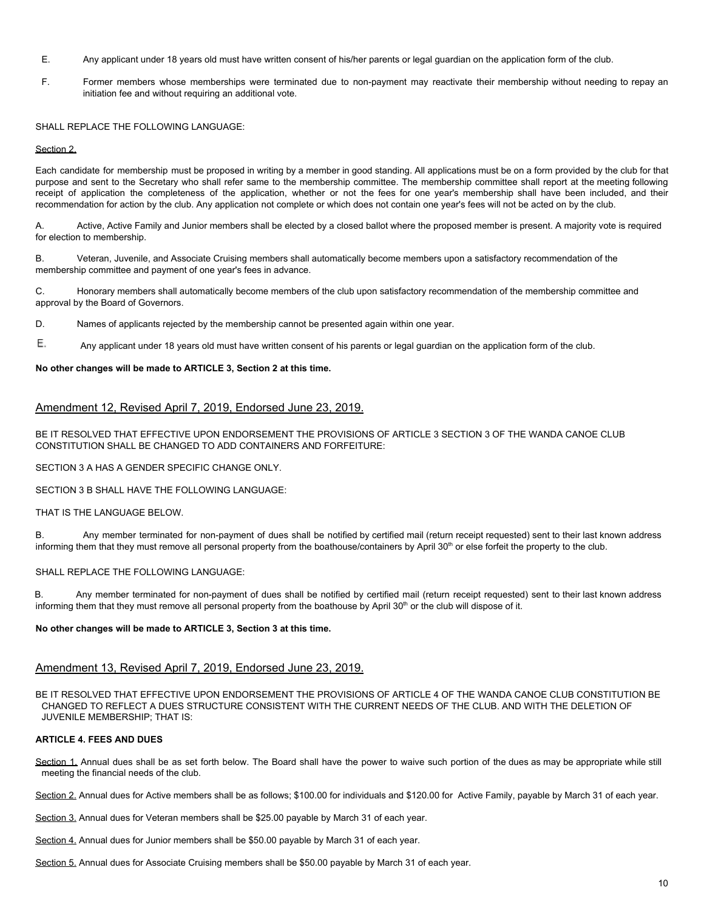- E. Any applicant under 18 years old must have written consent of his/her parents or legal guardian on the application form of the club.
- F. Former members whose memberships were terminated due to non-payment may reactivate their membership without needing to repay an initiation fee and without requiring an additional vote.

SHALL REPLACE THE FOLLOWING LANGUAGE:

### Section 2.

Each candidate for membership must be proposed in writing by a member in good standing. All applications must be on a form provided by the club for that purpose and sent to the Secretary who shall refer same to the membership committee. The membership committee shall report at the meeting following receipt of application the completeness of the application, whether or not the fees for one year's membership shall have been included, and their recommendation for action by the club. Any application not complete or which does not contain one year's fees will not be acted on by the club.

A. Active, Active Family and Junior members shall be elected by a closed ballot where the proposed member is present. A majority vote is required for election to membership.

B. Veteran, Juvenile, and Associate Cruising members shall automatically become members upon a satisfactory recommendation of the membership committee and payment of one year's fees in advance.

C. Honorary members shall automatically become members of the club upon satisfactory recommendation of the membership committee and approval by the Board of Governors.

D. Names of applicants rejected by the membership cannot be presented again within one year.

Ε. Any applicant under 18 years old must have written consent of his parents or legal guardian on the application form of the club.

## **No other changes will be made to ARTICLE 3, Section 2 at this time.**

# Amendment 12, Revised April 7, 2019, Endorsed June 23, 2019.

BE IT RESOLVED THAT EFFECTIVE UPON ENDORSEMENT THE PROVISIONS OF ARTICLE 3 SECTION 3 OF THE WANDA CANOE CLUB CONSTITUTION SHALL BE CHANGED TO ADD CONTAINERS AND FORFEITURE:

SECTION 3 A HAS A GENDER SPECIFIC CHANGE ONLY.

SECTION 3 B SHALL HAVE THE FOLLOWING LANGUAGE:

THAT IS THE LANGUAGE BELOW.

B. Any member terminated for non-payment of dues shall be notified by certified mail (return receipt requested) sent to their last known address informing them that they must remove all personal property from the boathouse/containers by April 30<sup>th</sup> or else forfeit the property to the club.

SHALL REPLACE THE FOLLOWING LANGUAGE:

B. Any member terminated for non-payment of dues shall be notified by certified mail (return receipt requested) sent to their last known address informing them that they must remove all personal property from the boathouse by April 30<sup>th</sup> or the club will dispose of it.

# **No other changes will be made to ARTICLE 3, Section 3 at this time.**

# Amendment 13, Revised April 7, 2019, Endorsed June 23, 2019.

BE IT RESOLVED THAT EFFECTIVE UPON ENDORSEMENT THE PROVISIONS OF ARTICLE 4 OF THE WANDA CANOE CLUB CONSTITUTION BE CHANGED TO REFLECT A DUES STRUCTURE CONSISTENT WITH THE CURRENT NEEDS OF THE CLUB. AND WITH THE DELETION OF JUVENILE MEMBERSHIP; THAT IS:

## **ARTICLE 4. FEES AND DUES**

Section 1. Annual dues shall be as set forth below. The Board shall have the power to waive such portion of the dues as may be appropriate while still meeting the financial needs of the club.

Section 2. Annual dues for Active members shall be as follows; \$100.00 for individuals and \$120.00 for Active Family, payable by March 31 of each year.

Section 3. Annual dues for Veteran members shall be \$25.00 payable by March 31 of each year.

Section 4. Annual dues for Junior members shall be \$50.00 payable by March 31 of each year.

Section 5. Annual dues for Associate Cruising members shall be \$50.00 payable by March 31 of each year.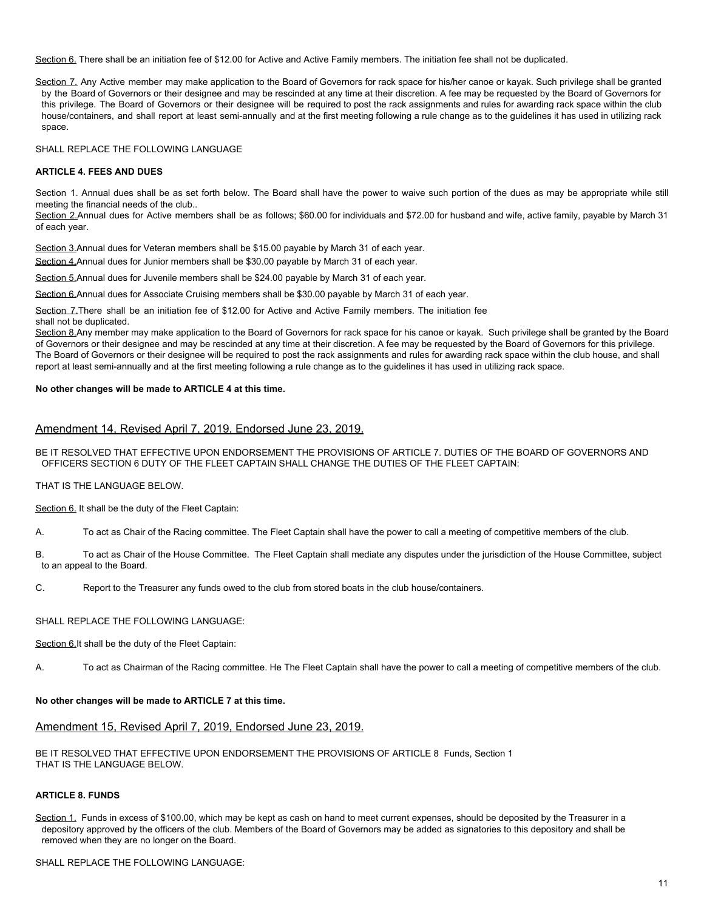Section 6. There shall be an initiation fee of \$12.00 for Active and Active Family members. The initiation fee shall not be duplicated.

Section 7. Any Active member may make application to the Board of Governors for rack space for his/her canoe or kayak. Such privilege shall be granted by the Board of Governors or their designee and may be rescinded at any time at their discretion. A fee may be requested by the Board of Governors for this privilege. The Board of Governors or their designee will be required to post the rack assignments and rules for awarding rack space within the club house/containers, and shall report at least semi-annually and at the first meeting following a rule change as to the guidelines it has used in utilizing rack space.

SHALL REPLACE THE FOLLOWING LANGUAGE

## **ARTICLE 4. FEES AND DUES**

Section 1. Annual dues shall be as set forth below. The Board shall have the power to waive such portion of the dues as may be appropriate while still meeting the financial needs of the club..

Section 2.Annual dues for Active members shall be as follows; \$60.00 for individuals and \$72.00 for husband and wife, active family, payable by March 31 of each year.

Section 3.Annual dues for Veteran members shall be \$15.00 payable by March 31 of each year. Section 4.Annual dues for Junior members shall be \$30.00 payable by March 31 of each year.

Section 5.Annual dues for Juvenile members shall be \$24.00 payable by March 31 of each year.

Section 6.Annual dues for Associate Cruising members shall be \$30.00 payable by March 31 of each year.

Section 7. There shall be an initiation fee of \$12.00 for Active and Active Family members. The initiation fee shall not be duplicated.

Section 8.Any member may make application to the Board of Governors for rack space for his canoe or kayak. Such privilege shall be granted by the Board of Governors or their designee and may be rescinded at any time at their discretion. A fee may be requested by the Board of Governors for this privilege. The Board of Governors or their designee will be required to post the rack assignments and rules for awarding rack space within the club house, and shall report at least semi-annually and at the first meeting following a rule change as to the guidelines it has used in utilizing rack space.

## **No other changes will be made to ARTICLE 4 at this time.**

# Amendment 14, Revised April 7, 2019, Endorsed June 23, 2019.

BE IT RESOLVED THAT EFFECTIVE UPON ENDORSEMENT THE PROVISIONS OF ARTICLE 7. DUTIES OF THE BOARD OF GOVERNORS AND OFFICERS SECTION 6 DUTY OF THE FLEET CAPTAIN SHALL CHANGE THE DUTIES OF THE FLEET CAPTAIN:

THAT IS THE LANGUAGE BELOW.

Section 6. It shall be the duty of the Fleet Captain:

A. To act as Chair of the Racing committee. The Fleet Captain shall have the power to call a meeting of competitive members of the club.

- B. To act as Chair of the House Committee. The Fleet Captain shall mediate any disputes under the jurisdiction of the House Committee, subject to an appeal to the Board.
- C. Report to the Treasurer any funds owed to the club from stored boats in the club house/containers.

## SHALL REPLACE THE FOLLOWING LANGUAGE:

Section 6.It shall be the duty of the Fleet Captain:

A. To act as Chairman of the Racing committee. He The Fleet Captain shall have the power to call a meeting of competitive members of the club.

#### **No other changes will be made to ARTICLE 7 at this time.**

# Amendment 15, Revised April 7, 2019, Endorsed June 23, 2019.

BE IT RESOLVED THAT EFFECTIVE UPON ENDORSEMENT THE PROVISIONS OF ARTICLE 8 Funds, Section 1 THAT IS THE LANGUAGE BELOW.

## **ARTICLE 8. FUNDS**

Section 1. Funds in excess of \$100.00, which may be kept as cash on hand to meet current expenses, should be deposited by the Treasurer in a depository approved by the officers of the club. Members of the Board of Governors may be added as signatories to this depository and shall be removed when they are no longer on the Board.

SHALL REPLACE THE FOLLOWING LANGUAGE: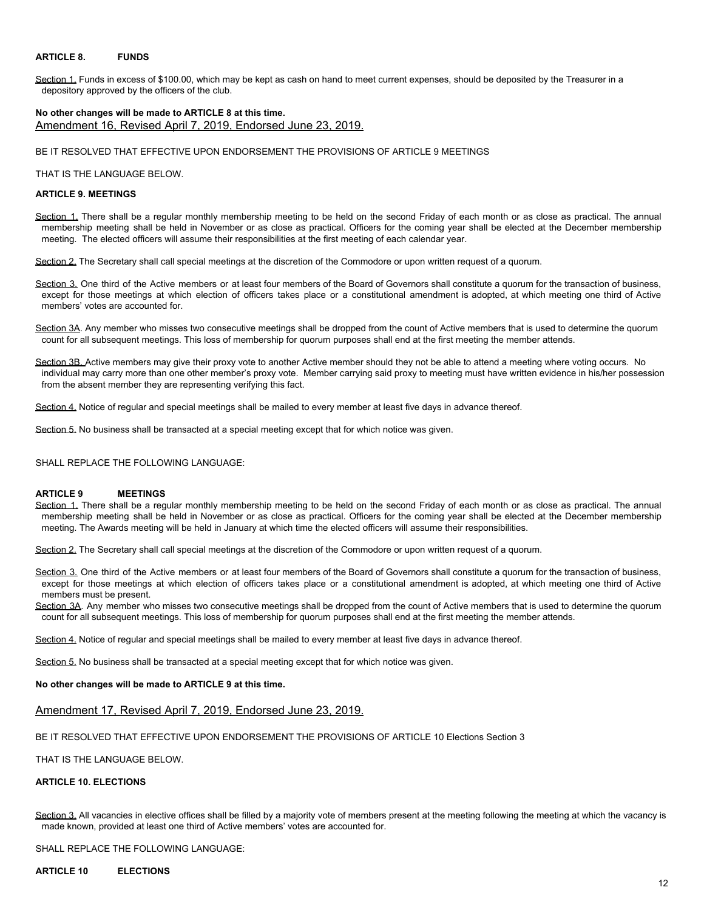## **ARTICLE 8. FUNDS**

Section 1. Funds in excess of \$100.00, which may be kept as cash on hand to meet current expenses, should be deposited by the Treasurer in a depository approved by the officers of the club.

# **No other changes will be made to ARTICLE 8 at this time.** Amendment 16, Revised April 7, 2019, Endorsed June 23, 2019.

BE IT RESOLVED THAT EFFECTIVE UPON ENDORSEMENT THE PROVISIONS OF ARTICLE 9 MEETINGS

THAT IS THE LANGUAGE BELOW.

## **ARTICLE 9. MEETINGS**

Section 1. There shall be a regular monthly membership meeting to be held on the second Friday of each month or as close as practical. The annual membership meeting shall be held in November or as close as practical. Officers for the coming year shall be elected at the December membership meeting. The elected officers will assume their responsibilities at the first meeting of each calendar year.

Section 2. The Secretary shall call special meetings at the discretion of the Commodore or upon written request of a quorum.

Section 3. One third of the Active members or at least four members of the Board of Governors shall constitute a quorum for the transaction of business, except for those meetings at which election of officers takes place or a constitutional amendment is adopted, at which meeting one third of Active members' votes are accounted for.

Section 3A. Any member who misses two consecutive meetings shall be dropped from the count of Active members that is used to determine the quorum count for all subsequent meetings. This loss of membership for quorum purposes shall end at the first meeting the member attends.

Section 3B. Active members may give their proxy vote to another Active member should they not be able to attend a meeting where voting occurs. No individual may carry more than one other member's proxy vote. Member carrying said proxy to meeting must have written evidence in his/her possession from the absent member they are representing verifying this fact.

Section 4. Notice of regular and special meetings shall be mailed to every member at least five days in advance thereof.

Section 5. No business shall be transacted at a special meeting except that for which notice was given.

SHALL REPLACE THE FOLLOWING LANGUAGE:

#### **ARTICLE 9 MEETINGS**

Section 1. There shall be a regular monthly membership meeting to be held on the second Friday of each month or as close as practical. The annual membership meeting shall be held in November or as close as practical. Officers for the coming year shall be elected at the December membership meeting. The Awards meeting will be held in January at which time the elected officers will assume their responsibilities.

Section 2. The Secretary shall call special meetings at the discretion of the Commodore or upon written request of a quorum.

Section 3. One third of the Active members or at least four members of the Board of Governors shall constitute a quorum for the transaction of business, except for those meetings at which election of officers takes place or a constitutional amendment is adopted, at which meeting one third of Active members must be present.

Section 3A. Any member who misses two consecutive meetings shall be dropped from the count of Active members that is used to determine the quorum count for all subsequent meetings. This loss of membership for quorum purposes shall end at the first meeting the member attends.

Section 4. Notice of regular and special meetings shall be mailed to every member at least five days in advance thereof.

Section 5. No business shall be transacted at a special meeting except that for which notice was given.

#### **No other changes will be made to ARTICLE 9 at this time.**

## Amendment 17, Revised April 7, 2019, Endorsed June 23, 2019.

BE IT RESOLVED THAT EFFECTIVE UPON ENDORSEMENT THE PROVISIONS OF ARTICLE 10 Elections Section 3

THAT IS THE LANGUAGE BELOW.

# **ARTICLE 10. ELECTIONS**

Section 3. All vacancies in elective offices shall be filled by a majority vote of members present at the meeting following the meeting at which the vacancy is made known, provided at least one third of Active members' votes are accounted for.

SHALL REPLACE THE FOLLOWING LANGUAGE:

## **ARTICLE 10 ELECTIONS**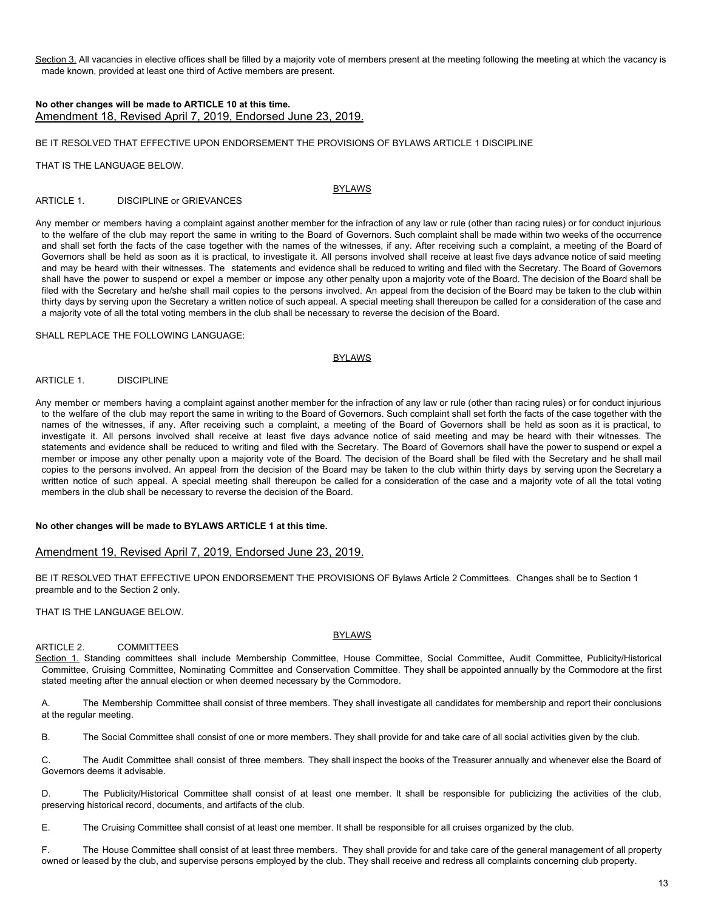Section 3. All vacancies in elective offices shall be filled by a majority vote of members present at the meeting following the meeting at which the vacancy is made known, provided at least one third of Active members are present.

# **No other changes will be made to ARTICLE 10 at this time.** Amendment 18, Revised April 7, 2019, Endorsed June 23, 2019.

#### BE IT RESOLVED THAT EFFECTIVE UPON ENDORSEMENT THE PROVISIONS OF BYLAWS ARTICLE 1 DISCIPLINE

THAT IS THE LANGUAGE BELOW.

# BYLAWS

ARTICLE 1. DISCIPLINE or GRIEVANCES

Any member or members having a complaint against another member for the infraction of any law or rule (other than racing rules) or for conduct injurious to the welfare of the club may report the same in writing to the Board of Governors. Such complaint shall be made within two weeks of the occurrence and shall set forth the facts of the case together with the names of the witnesses, if any. After receiving such a complaint, a meeting of the Board of Governors shall be held as soon as it is practical, to investigate it. All persons involved shall receive at least five days advance notice of said meeting and may be heard with their witnesses. The statements and evidence shall be reduced to writing and filed with the Secretary. The Board of Governors shall have the power to suspend or expel a member or impose any other penalty upon a majority vote of the Board. The decision of the Board shall be filed with the Secretary and he/she shall mail copies to the persons involved. An appeal from the decision of the Board may be taken to the club within thirty days by serving upon the Secretary a written notice of such appeal. A special meeting shall thereupon be called for a consideration of the case and a majority vote of all the total voting members in the club shall be necessary to reverse the decision of the Board.

## SHALL REPLACE THE FOLLOWING LANGUAGE:

#### BYLAWS

## ARTICLE 1. DISCIPLINE

Any member or members having a complaint against another member for the infraction of any law or rule (other than racing rules) or for conduct injurious to the welfare of the club may report the same in writing to the Board of Governors. Such complaint shall set forth the facts of the case together with the names of the witnesses, if any. After receiving such a complaint, a meeting of the Board of Governors shall be held as soon as it is practical, to investigate it. All persons involved shall receive at least five days advance notice of said meeting and may be heard with their witnesses. The statements and evidence shall be reduced to writing and filed with the Secretary. The Board of Governors shall have the power to suspend or expel a member or impose any other penalty upon a majority vote of the Board. The decision of the Board shall be filed with the Secretary and he shall mail copies to the persons involved. An appeal from the decision of the Board may be taken to the club within thirty days by serving upon the Secretary a written notice of such appeal. A special meeting shall thereupon be called for a consideration of the case and a majority vote of all the total voting members in the club shall be necessary to reverse the decision of the Board.

## **No other changes will be made to BYLAWS ARTICLE 1 at this time.**

## Amendment 19, Revised April 7, 2019, Endorsed June 23, 2019.

BE IT RESOLVED THAT EFFECTIVE UPON ENDORSEMENT THE PROVISIONS OF Bylaws Article 2 Committees. Changes shall be to Section 1 preamble and to the Section 2 only.

THAT IS THE LANGUAGE BELOW.

## BYLAWS

# ARTICLE 2. COMMITTEES

Section 1. Standing committees shall include Membership Committee, House Committee, Social Committee, Audit Committee, Publicity/Historical Committee, Cruising Committee, Nominating Committee and Conservation Committee. They shall be appointed annually by the Commodore at the first stated meeting after the annual election or when deemed necessary by the Commodore.

A. The Membership Committee shall consist of three members. They shall investigate all candidates for membership and report their conclusions at the regular meeting.

B. The Social Committee shall consist of one or more members. They shall provide for and take care of all social activities given by the club.

C. The Audit Committee shall consist of three members. They shall inspect the books of the Treasurer annually and whenever else the Board of Governors deems it advisable.

D. The Publicity/Historical Committee shall consist of at least one member. It shall be responsible for publicizing the activities of the club, preserving historical record, documents, and artifacts of the club.

E. The Cruising Committee shall consist of at least one member. It shall be responsible for all cruises organized by the club.

F. The House Committee shall consist of at least three members. They shall provide for and take care of the general management of all property owned or leased by the club, and supervise persons employed by the club. They shall receive and redress all complaints concerning club property.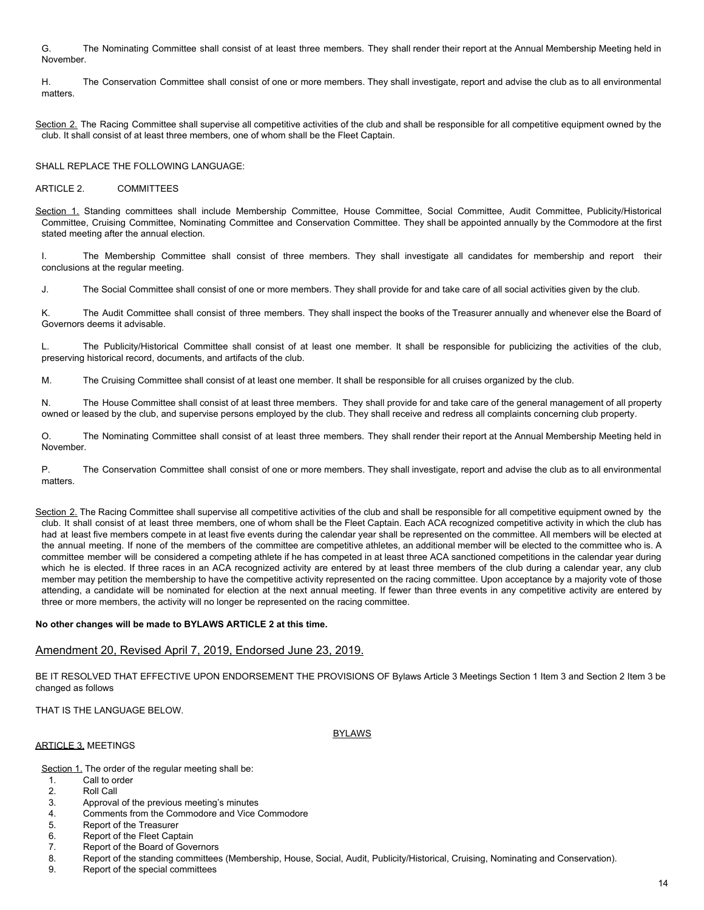G. The Nominating Committee shall consist of at least three members. They shall render their report at the Annual Membership Meeting held in November.

H. The Conservation Committee shall consist of one or more members. They shall investigate, report and advise the club as to all environmental matters.

Section 2. The Racing Committee shall supervise all competitive activities of the club and shall be responsible for all competitive equipment owned by the club. It shall consist of at least three members, one of whom shall be the Fleet Captain.

SHALL REPLACE THE FOLLOWING LANGUAGE:

## ARTICLE 2. COMMITTEES

Section 1. Standing committees shall include Membership Committee, House Committee, Social Committee, Audit Committee, Publicity/Historical Committee, Cruising Committee, Nominating Committee and Conservation Committee. They shall be appointed annually by the Commodore at the first stated meeting after the annual election.

I. The Membership Committee shall consist of three members. They shall investigate all candidates for membership and report their conclusions at the regular meeting.

J. The Social Committee shall consist of one or more members. They shall provide for and take care of all social activities given by the club.

K. The Audit Committee shall consist of three members. They shall inspect the books of the Treasurer annually and whenever else the Board of Governors deems it advisable.

L. The Publicity/Historical Committee shall consist of at least one member. It shall be responsible for publicizing the activities of the club, preserving historical record, documents, and artifacts of the club.

M. The Cruising Committee shall consist of at least one member. It shall be responsible for all cruises organized by the club.

N. The House Committee shall consist of at least three members. They shall provide for and take care of the general management of all property owned or leased by the club, and supervise persons employed by the club. They shall receive and redress all complaints concerning club property.

O. The Nominating Committee shall consist of at least three members. They shall render their report at the Annual Membership Meeting held in November.

P. The Conservation Committee shall consist of one or more members. They shall investigate, report and advise the club as to all environmental matters.

Section 2. The Racing Committee shall supervise all competitive activities of the club and shall be responsible for all competitive equipment owned by the club. It shall consist of at least three members, one of whom shall be the Fleet Captain. Each ACA recognized competitive activity in which the club has had at least five members compete in at least five events during the calendar year shall be represented on the committee. All members will be elected at the annual meeting. If none of the members of the committee are competitive athletes, an additional member will be elected to the committee who is. A committee member will be considered a competing athlete if he has competed in at least three ACA sanctioned competitions in the calendar year during which he is elected. If three races in an ACA recognized activity are entered by at least three members of the club during a calendar year, any club member may petition the membership to have the competitive activity represented on the racing committee. Upon acceptance by a majority vote of those attending, a candidate will be nominated for election at the next annual meeting. If fewer than three events in any competitive activity are entered by three or more members, the activity will no longer be represented on the racing committee.

## **No other changes will be made to BYLAWS ARTICLE 2 at this time.**

## Amendment 20, Revised April 7, 2019, Endorsed June 23, 2019.

BE IT RESOLVED THAT EFFECTIVE UPON ENDORSEMENT THE PROVISIONS OF Bylaws Article 3 Meetings Section 1 Item 3 and Section 2 Item 3 be changed as follows

THAT IS THE LANGUAGE BELOW.

#### BYLAWS

Section 1. The order of the regular meeting shall be:

1. Call to order

**ARTICLE 3. MEETINGS** 

- 2. Roll Call
- 3. Approval of the previous meeting's minutes<br>4. Comments from the Commodore and Vice (
- Comments from the Commodore and Vice Commodore
- 5. Report of the Treasurer
- 6. Report of the Fleet Captain
- 7. Report of the Board of Governors
- 8. Report of the standing committees (Membership, House, Social, Audit, Publicity/Historical, Cruising, Nominating and Conservation).
- 9. Report of the special committees